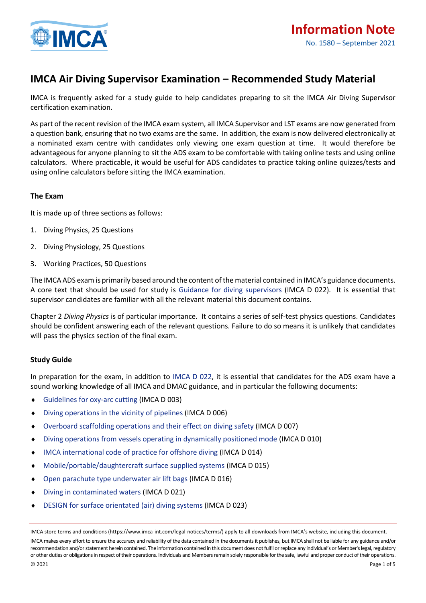

# **IMCA Air Diving Supervisor Examination – Recommended Study Material**

IMCA is frequently asked for a study guide to help candidates preparing to sit the IMCA Air Diving Supervisor certification examination.

As part of the recent revision of the IMCA exam system, all IMCA Supervisor and LST exams are now generated from a question bank, ensuring that no two exams are the same. In addition, the exam is now delivered electronically at a nominated exam centre with candidates only viewing one exam question at time. It would therefore be advantageous for anyone planning to sit the ADS exam to be comfortable with taking online tests and using online calculators. Where practicable, it would be useful for ADS candidates to practice taking online quizzes/tests and using online calculators before sitting the IMCA examination.

# **The Exam**

It is made up of three sections as follows:

- 1. Diving Physics, 25 Questions
- 2. Diving Physiology, 25 Questions
- 3. Working Practices, 50 Questions

The IMCA ADS exam is primarily based around the content of the material contained in IMCA's guidance documents. A core text that should be used for study is [Guidance for diving supervisors](https://www.imca-int.com/publications/155/guidance-for-diving-supervisors/) (IMCA D 022)*.* It is essential that supervisor candidates are familiar with all the relevant material this document contains.

Chapter 2 *Diving Physics* is of particular importance. It contains a series of self-test physics questions. Candidates should be confident answering each of the relevant questions. Failure to do so means it is unlikely that candidates will pass the physics section of the final exam.

## **Study Guide**

In preparation for the exam, in addition to [IMCA D 022,](https://www.imca-int.com/publications/155/guidance-for-diving-supervisors/) it is essential that candidates for the ADS exam have a sound working knowledge of all IMCA and DMAC guidance, and in particular the following documents:

- [Guidelines for oxy-arc cutting](https://www.imca-int.com/publications/93/guidelines-for-oxy-arc-cutting/) (IMCA D 003)
- [Diving operations in the vicinity of pipelines](https://www.imca-int.com/publications/107/guidance-on-diving-operations-in-the-vicinity-of-pipelines/) (IMCA D 006)
- [Overboard scaffolding operations and their effect on diving safety](https://www.imca-int.com/publications/98/overboard-scaffolding-operations-and-their-effect-on-diving-safety/) (IMCA D 007)
- [Diving operations from vessels operating in dynamically positioned mode](https://www.imca-int.com/publications/104/diving-operations-from-vessels-operating-in-dynamically-positioned-mode/) (IMCA D 010)
- [IMCA international code of practice for offshore diving](https://www.imca-int.com/publications/120/imca-international-code-of-practice-for-offshore-diving/) (IMCA D 014)
- [Mobile/portable/daughtercraft surface supplied systems](https://www.imca-int.com/publications/122/mobileportabledaughtercraft-surface-supplied-systems/) (IMCA D 015)
- [Open parachute type underwater air lift bags](https://www.imca-int.com/publications/129/guidance-on-open-parachute-type-underwater-air-lift-bags/) (IMCA D 016)
- [Diving in contaminated waters](https://www.imca-int.com/publications/146/diving-in-contaminated-waters/) (IMCA D 021)
- [DESIGN for surface orientated \(air\) diving systems](https://www.imca-int.com/publications/152/diving-equipment-systems-inspection-guidance-note-design-for-surface-orientated-air-diving-systems/) (IMCA D 023)

IMCA store terms and conditions (https://www.imca-int.com/legal-notices/terms/) apply to all downloads from IMCA's website, including this document.

IMCA makes every effort to ensure the accuracy and reliability of the data contained in the documents it publishes, but IMCA shall not be liable for any guidance and/or recommendation and/or statement herein contained. The information contained in this document does not fulfil or replace any individual's or Member's legal, regulatory or other duties or obligations in respect of their operations. Individuals and Members remain solely responsible for the safe, lawful and proper conduct of their operations.  $\hbox{\tt Q}$  2021  $\hbox{\tt Page 1 of 5}$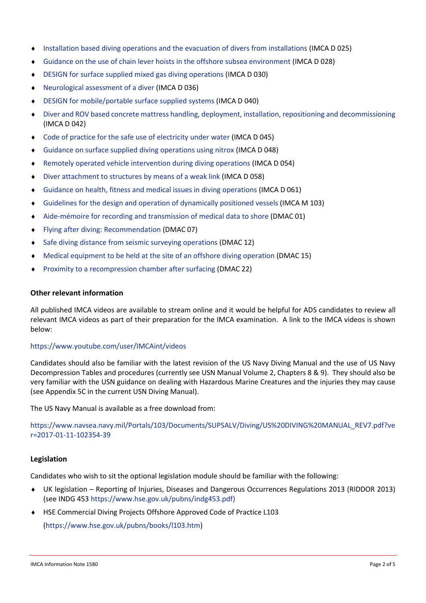- [Installation based diving operations and the evacuation of divers from installations](https://www.imca-int.com/publications/167/guidance-on-installation-based-diving-operations-and-the-evacuation-of-divers-from-installations/) (IMCA D 025)
- [Guidance on the use of chain lever hoists in the offshore subsea environment](https://www.imca-int.com/publications/262/guidance-on-the-use-of-chain-lever-hoists-in-the-offshore-subsea-environment/) (IMCA D 028)
- [DESIGN for surface supplied mixed gas diving operations](https://www.imca-int.com/publications/189/surface-supplied-mixed-gas-diving-operations/) (IMCA D 030)
- [Neurological assessment of a diver \(](https://www.imca-int.com/publications/219/neurological-assessment-of-a-diver/)IMCA D 036)
- [DESIGN for mobile/portable surface supplied systems](https://www.imca-int.com/publications/233/design-for-mobileportable-surface-supplied-systems/) (IMCA D 040)
- [Diver and ROV based concrete mattress handling, deployment, installation, repositioning and decommissioning](https://www.imca-int.com/publications/257/diver-and-rov-based-concrete-mattress-handling-deployment-installation-repositioning-and-decommissioning/) (IMCA D 042)
- [Code of practice for the safe use of electricity under water](https://www.imca-int.com/publications/295/code-of-practice-for-the-safe-use-of-electricity-under-water/) (IMCA D 045)
- [Guidance on surface supplied diving operations using nitrox](https://www.imca-int.com/publications/319/surface-supplied-diving-operations-using-nitrox/) (IMCA D 048)
- [Remotely operated vehicle intervention during diving operations](https://www.imca-int.com/publications/352/remotely-operated-vehicle-intervention-during-diving-operations-2/) (IMCA D 054)
- Diver attachment [to structures by means of a weak link](https://www.imca-int.com/publications/380/diver-attachment-to-structures-by-means-of-a-weak-link-2/) (IMCA D 058)
- [Guidance on health, fitness and medical issues in diving operations](https://www.imca-int.com/publications/451/guidance-on-health-fitness-and-medical-issues-in-diving-operations/) (IMCA D 061)
- [Guidelines for the design and operation of dynamically positioned vessels](https://www.imca-int.com/publications/57/guidelines-for-the-design-and-operation-of-dynamically-positioned-vessels/) (IMCA M 103)
- [Aide-mémoire for recording and transmission of medical data to shore](http://www.dmac-diving.org/guidance/DMAC01.pdf) (DMAC 01)
- [Flying after diving: Recommendation](http://www.dmac-diving.org/guidance/DMAC07.pdf) (DMAC 07)
- ◆ [Safe diving distance from seismic surveying operations](http://www.dmac-diving.org/guidance/DMAC12.pdf) (DMAC 12)
- [Medical equipment to be held at the site of an offshore diving operation](http://www.dmac-diving.org/guidance/DMAC15.pdf) (DMAC 15)
- [Proximity to a recompression chamber after surfacing](http://www.dmac-diving.org/guidance/DMAC22.pdf) (DMAC 22)

## **Other relevant information**

All published IMCA videos are available to stream online and it would be helpful for ADS candidates to review all relevant IMCA videos as part of their preparation for the IMCA examination. A link to the IMCA videos is shown below:

## <https://www.youtube.com/user/IMCAint/videos>

Candidates should also be familiar with the latest revision of the US Navy Diving Manual and the use of US Navy Decompression Tables and procedures (currently see USN Manual Volume 2, Chapters 8 & 9). They should also be very familiar with the USN guidance on dealing with Hazardous Marine Creatures and the injuries they may cause (see Appendix 5C in the current USN Diving Manual).

The US Navy Manual is available as a free download from:

[https://www.navsea.navy.mil/Portals/103/Documents/SUPSALV/Diving/US%20DIVING%20MANUAL\\_REV7.pdf?ve](https://www.navsea.navy.mil/Portals/103/Documents/SUPSALV/Diving/US%20DIVING%20MANUAL_REV7.pdf?ver=2017-01-11-102354-39) [r=2017-01-11-102354-39](https://www.navsea.navy.mil/Portals/103/Documents/SUPSALV/Diving/US%20DIVING%20MANUAL_REV7.pdf?ver=2017-01-11-102354-39)

## **Legislation**

Candidates who wish to sit the optional legislation module should be familiar with the following:

- UK legislation Reporting of Injuries, Diseases and Dangerous Occurrences Regulations 2013 (RIDDOR 2013) (see INDG 453 [https://www.hse.gov.uk/pubns/indg453.pdf\)](https://www.hse.gov.uk/pubns/indg453.pdf)
- HSE Commercial Diving Projects Offshore Approved Code of Practice L103

[\(https://www.hse.gov.uk/pubns/books/l103.htm\)](https://www.hse.gov.uk/pubns/books/l103.htm)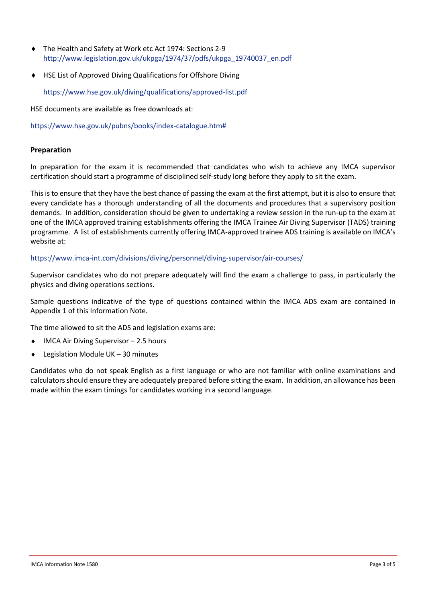- The Health and Safety at Work etc Act 1974: Sections 2-9 [http://www.legislation.gov.uk/ukpga/1974/37/pdfs/ukpga\\_19740037\\_en.pdf](http://www.legislation.gov.uk/ukpga/1974/37/pdfs/ukpga_19740037_en.pdf)
- HSE List of Approved Diving Qualifications for Offshore Diving

<https://www.hse.gov.uk/diving/qualifications/approved-list.pdf>

HSE documents are available as free downloads at:

[https://www.hse.gov.uk/pubns/books/index-catalogue.htm#](https://www.hse.gov.uk/pubns/books/index-catalogue.htm)

#### **Preparation**

In preparation for the exam it is recommended that candidates who wish to achieve any IMCA supervisor certification should start a programme of disciplined self-study long before they apply to sit the exam.

This is to ensure that they have the best chance of passing the exam at the first attempt, but it is also to ensure that every candidate has a thorough understanding of all the documents and procedures that a supervisory position demands. In addition, consideration should be given to undertaking a review session in the run-up to the exam at one of the IMCA approved training establishments offering the IMCA Trainee Air Diving Supervisor (TADS) training programme. A list of establishments currently offering IMCA-approved trainee ADS training is available on IMCA's website at:

#### <https://www.imca-int.com/divisions/diving/personnel/diving-supervisor/air-courses/>

Supervisor candidates who do not prepare adequately will find the exam a challenge to pass, in particularly the physics and diving operations sections.

Sample questions indicative of the type of questions contained within the IMCA ADS exam are contained in Appendix 1 of this Information Note.

The time allowed to sit the ADS and legislation exams are:

- ◆ IMCA Air Diving Supervisor 2.5 hours
- ◆ Legislation Module UK 30 minutes

Candidates who do not speak English as a first language or who are not familiar with online examinations and calculators should ensure they are adequately prepared before sitting the exam. In addition, an allowance has been made within the exam timings for candidates working in a second language.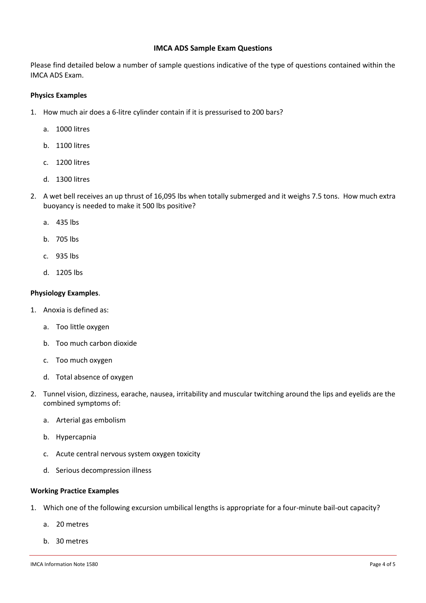## **IMCA ADS Sample Exam Questions**

Please find detailed below a number of sample questions indicative of the type of questions contained within the IMCA ADS Exam.

## **Physics Examples**

- 1. How much air does a 6-litre cylinder contain if it is pressurised to 200 bars?
	- a. 1000 litres
	- b. 1100 litres
	- c. 1200 litres
	- d. 1300 litres
- 2. A wet bell receives an up thrust of 16,095 lbs when totally submerged and it weighs 7.5 tons. How much extra buoyancy is needed to make it 500 lbs positive?
	- a. 435 lbs
	- b. 705 lbs
	- c. 935 lbs
	- d. 1205 lbs

## **Physiology Examples**.

- 1. Anoxia is defined as:
	- a. Too little oxygen
	- b. Too much carbon dioxide
	- c. Too much oxygen
	- d. Total absence of oxygen
- 2. Tunnel vision, dizziness, earache, nausea, irritability and muscular twitching around the lips and eyelids are the combined symptoms of:
	- a. Arterial gas embolism
	- b. Hypercapnia
	- c. Acute central nervous system oxygen toxicity
	- d. Serious decompression illness

## **Working Practice Examples**

- 1. Which one of the following excursion umbilical lengths is appropriate for a four-minute bail-out capacity?
	- a. 20 metres
	- b. 30 metres